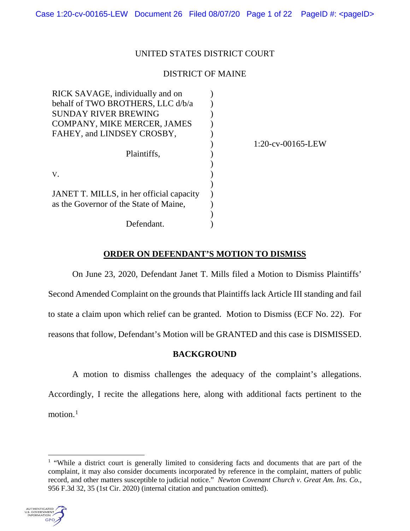# UNITED STATES DISTRICT COURT

# DISTRICT OF MAINE

| RICK SAVAGE, individually and on         |                      |
|------------------------------------------|----------------------|
| behalf of TWO BROTHERS, LLC d/b/a        |                      |
| <b>SUNDAY RIVER BREWING</b>              |                      |
| COMPANY, MIKE MERCER, JAMES              |                      |
| FAHEY, and LINDSEY CROSBY,               |                      |
|                                          | $1:20$ -cv-00165-LEW |
| Plaintiffs,                              |                      |
|                                          |                      |
| V.                                       |                      |
|                                          |                      |
| JANET T. MILLS, in her official capacity |                      |
| as the Governor of the State of Maine,   |                      |
|                                          |                      |
| Defendant.                               |                      |
|                                          |                      |

# **ORDER ON DEFENDANT'S MOTION TO DISMISS**

On June 23, 2020, Defendant Janet T. Mills filed a Motion to Dismiss Plaintiffs' Second Amended Complaint on the grounds that Plaintiffs lack Article III standing and fail to state a claim upon which relief can be granted. Motion to Dismiss (ECF No. 22). For reasons that follow, Defendant's Motion will be GRANTED and this case is DISMISSED.

# **BACKGROUND**

A motion to dismiss challenges the adequacy of the complaint's allegations. Accordingly, I recite the allegations here, along with additional facts pertinent to the motion.<sup>1</sup>

 $<sup>1</sup>$  "While a district court is generally limited to considering facts and documents that are part of the</sup> complaint, it may also consider documents incorporated by reference in the complaint, matters of public record, and other matters susceptible to judicial notice." *Newton Covenant Church v. Great Am. Ins. Co.*, 956 F.3d 32, 35 (1st Cir. 2020) (internal citation and punctuation omitted).



 $\overline{a}$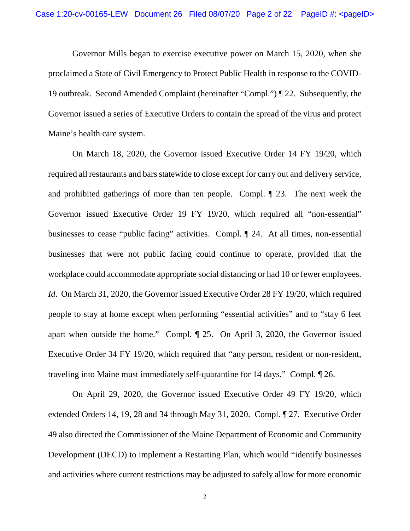Governor Mills began to exercise executive power on March 15, 2020, when she proclaimed a State of Civil Emergency to Protect Public Health in response to the COVID-19 outbreak. Second Amended Complaint (hereinafter "Compl.") ¶ 22. Subsequently, the Governor issued a series of Executive Orders to contain the spread of the virus and protect Maine's health care system.

On March 18, 2020, the Governor issued Executive Order 14 FY 19/20, which required all restaurants and bars statewide to close except for carry out and delivery service, and prohibited gatherings of more than ten people. Compl. ¶ 23. The next week the Governor issued Executive Order 19 FY 19/20, which required all "non-essential" businesses to cease "public facing" activities. Compl. ¶ 24. At all times, non-essential businesses that were not public facing could continue to operate, provided that the workplace could accommodate appropriate social distancing or had 10 or fewer employees. *Id.* On March 31, 2020, the Governor issued Executive Order 28 FY 19/20, which required people to stay at home except when performing "essential activities" and to "stay 6 feet apart when outside the home." Compl. ¶ 25. On April 3, 2020, the Governor issued Executive Order 34 FY 19/20, which required that "any person, resident or non-resident, traveling into Maine must immediately self-quarantine for 14 days." Compl. ¶ 26.

On April 29, 2020, the Governor issued Executive Order 49 FY 19/20, which extended Orders 14, 19, 28 and 34 through May 31, 2020. Compl. ¶ 27. Executive Order 49 also directed the Commissioner of the Maine Department of Economic and Community Development (DECD) to implement a Restarting Plan, which would "identify businesses and activities where current restrictions may be adjusted to safely allow for more economic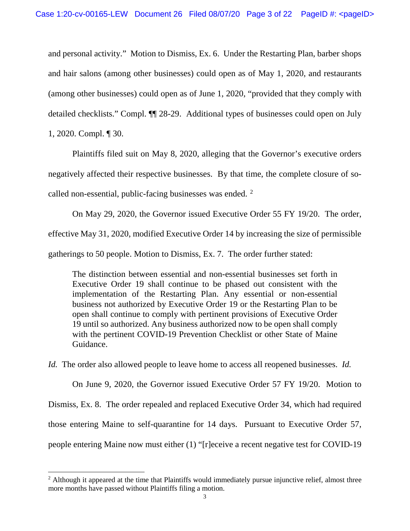and personal activity." Motion to Dismiss, Ex. 6. Under the Restarting Plan, barber shops and hair salons (among other businesses) could open as of May 1, 2020, and restaurants (among other businesses) could open as of June 1, 2020, "provided that they comply with detailed checklists." Compl. ¶¶ 28-29. Additional types of businesses could open on July 1, 2020. Compl. ¶ 30.

Plaintiffs filed suit on May 8, 2020, alleging that the Governor's executive orders negatively affected their respective businesses. By that time, the complete closure of socalled non-essential, public-facing businesses was ended.  $2$ 

On May 29, 2020, the Governor issued Executive Order 55 FY 19/20. The order, effective May 31, 2020, modified Executive Order 14 by increasing the size of permissible gatherings to 50 people. Motion to Dismiss, Ex. 7. The order further stated:

The distinction between essential and non-essential businesses set forth in Executive Order 19 shall continue to be phased out consistent with the implementation of the Restarting Plan. Any essential or non-essential business not authorized by Executive Order 19 or the Restarting Plan to be open shall continue to comply with pertinent provisions of Executive Order 19 until so authorized. Any business authorized now to be open shall comply with the pertinent COVID-19 Prevention Checklist or other State of Maine Guidance.

*Id.* The order also allowed people to leave home to access all reopened businesses. *Id.*

On June 9, 2020, the Governor issued Executive Order 57 FY 19/20. Motion to Dismiss, Ex. 8. The order repealed and replaced Executive Order 34, which had required those entering Maine to self-quarantine for 14 days. Pursuant to Executive Order 57, people entering Maine now must either (1) "[r]eceive a recent negative test for COVID-19

 $\overline{a}$ 

<sup>&</sup>lt;sup>2</sup> Although it appeared at the time that Plaintiffs would immediately pursue injunctive relief, almost three more months have passed without Plaintiffs filing a motion.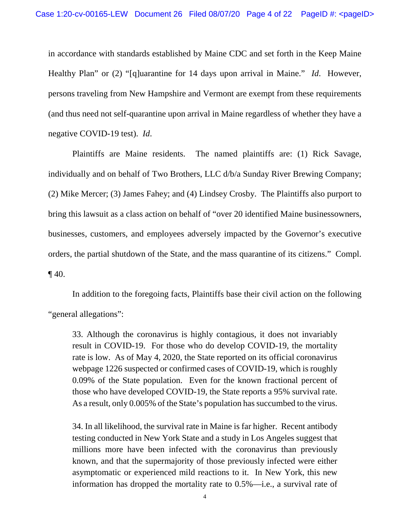in accordance with standards established by Maine CDC and set forth in the Keep Maine Healthy Plan" or (2) "[q]uarantine for 14 days upon arrival in Maine." *Id*. However, persons traveling from New Hampshire and Vermont are exempt from these requirements (and thus need not self-quarantine upon arrival in Maine regardless of whether they have a negative COVID-19 test). *Id*.

Plaintiffs are Maine residents. The named plaintiffs are: (1) Rick Savage, individually and on behalf of Two Brothers, LLC d/b/a Sunday River Brewing Company; (2) Mike Mercer; (3) James Fahey; and (4) Lindsey Crosby. The Plaintiffs also purport to bring this lawsuit as a class action on behalf of "over 20 identified Maine businessowners, businesses, customers, and employees adversely impacted by the Governor's executive orders, the partial shutdown of the State, and the mass quarantine of its citizens." Compl. ¶ 40.

In addition to the foregoing facts, Plaintiffs base their civil action on the following "general allegations":

33. Although the coronavirus is highly contagious, it does not invariably result in COVID-19. For those who do develop COVID-19, the mortality rate is low. As of May 4, 2020, the State reported on its official coronavirus webpage 1226 suspected or confirmed cases of COVID-19, which is roughly 0.09% of the State population. Even for the known fractional percent of those who have developed COVID-19, the State reports a 95% survival rate. As a result, only 0.005% of the State's population has succumbed to the virus.

34. In all likelihood, the survival rate in Maine is far higher. Recent antibody testing conducted in New York State and a study in Los Angeles suggest that millions more have been infected with the coronavirus than previously known, and that the supermajority of those previously infected were either asymptomatic or experienced mild reactions to it. In New York, this new information has dropped the mortality rate to 0.5%—i.e., a survival rate of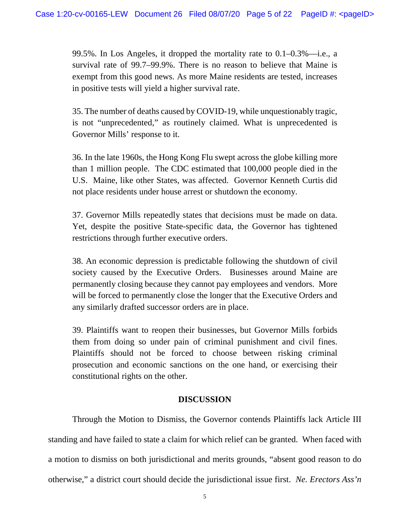99.5%. In Los Angeles, it dropped the mortality rate to 0.1–0.3%—i.e., a survival rate of 99.7–99.9%. There is no reason to believe that Maine is exempt from this good news. As more Maine residents are tested, increases in positive tests will yield a higher survival rate.

35. The number of deaths caused by COVID-19, while unquestionably tragic, is not "unprecedented," as routinely claimed. What is unprecedented is Governor Mills' response to it.

36. In the late 1960s, the Hong Kong Flu swept across the globe killing more than 1 million people. The CDC estimated that 100,000 people died in the U.S. Maine, like other States, was affected. Governor Kenneth Curtis did not place residents under house arrest or shutdown the economy.

37. Governor Mills repeatedly states that decisions must be made on data. Yet, despite the positive State-specific data, the Governor has tightened restrictions through further executive orders.

38. An economic depression is predictable following the shutdown of civil society caused by the Executive Orders. Businesses around Maine are permanently closing because they cannot pay employees and vendors. More will be forced to permanently close the longer that the Executive Orders and any similarly drafted successor orders are in place.

39. Plaintiffs want to reopen their businesses, but Governor Mills forbids them from doing so under pain of criminal punishment and civil fines. Plaintiffs should not be forced to choose between risking criminal prosecution and economic sanctions on the one hand, or exercising their constitutional rights on the other.

# **DISCUSSION**

Through the Motion to Dismiss, the Governor contends Plaintiffs lack Article III standing and have failed to state a claim for which relief can be granted. When faced with a motion to dismiss on both jurisdictional and merits grounds, "absent good reason to do otherwise," a district court should decide the jurisdictional issue first. *Ne. Erectors Ass'n*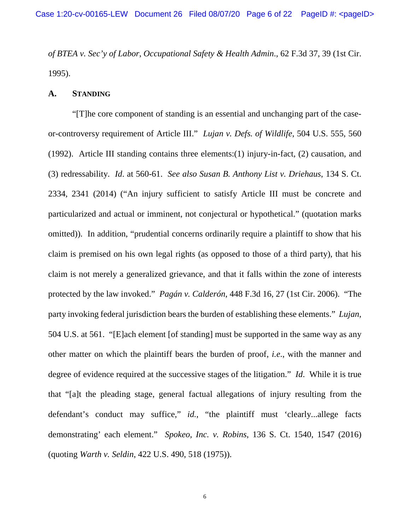*of BTEA v. Sec'y of Labor*, *Occupational Safety & Health Admin*., 62 F.3d 37, 39 (1st Cir. 1995).

# **A. STANDING**

"[T]he core component of standing is an essential and unchanging part of the caseor-controversy requirement of Article III." *Lujan v. Defs. of Wildlife*, 504 U.S. 555, 560 (1992). Article III standing contains three elements:(1) injury-in-fact, (2) causation, and (3) redressability. *Id*. at 560-61. *See also Susan B. Anthony List v. Driehaus*, 134 S. Ct. 2334, 2341 (2014) ("An injury sufficient to satisfy Article III must be concrete and particularized and actual or imminent, not conjectural or hypothetical." (quotation marks omitted)). In addition, "prudential concerns ordinarily require a plaintiff to show that his claim is premised on his own legal rights (as opposed to those of a third party), that his claim is not merely a generalized grievance, and that it falls within the zone of interests protected by the law invoked." *Pagán v. Calderón*, 448 F.3d 16, 27 (1st Cir. 2006). "The party invoking federal jurisdiction bears the burden of establishing these elements." *Lujan*, 504 U.S. at 561. "[E]ach element [of standing] must be supported in the same way as any other matter on which the plaintiff bears the burden of proof, *i.e*., with the manner and degree of evidence required at the successive stages of the litigation." *Id*. While it is true that "[a]t the pleading stage, general factual allegations of injury resulting from the defendant's conduct may suffice," *id.*, "the plaintiff must 'clearly...allege facts demonstrating' each element." *Spokeo, Inc. v. Robins*, 136 S. Ct. 1540, 1547 (2016) (quoting *Warth v. Seldin*, 422 U.S. 490, 518 (1975)).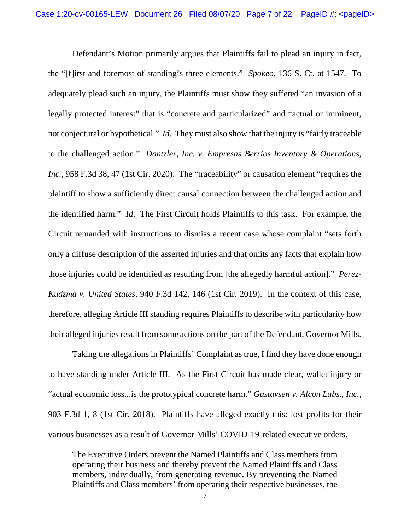Defendant's Motion primarily argues that Plaintiffs fail to plead an injury in fact, the "[f]irst and foremost of standing's three elements." *Spokeo*, 136 S. Ct. at 1547. To adequately plead such an injury, the Plaintiffs must show they suffered "an invasion of a legally protected interest" that is "concrete and particularized" and "actual or imminent, not conjectural or hypothetical." *Id.* They must also show that the injury is "fairly traceable to the challenged action." *Dantzler, Inc. v. Empresas Berrios Inventory & Operations, Inc.*, 958 F.3d 38, 47 (1st Cir. 2020). The "traceability" or causation element "requires the plaintiff to show a sufficiently direct causal connection between the challenged action and the identified harm." *Id*. The First Circuit holds Plaintiffs to this task. For example, the Circuit remanded with instructions to dismiss a recent case whose complaint "sets forth only a diffuse description of the asserted injuries and that omits any facts that explain how those injuries could be identified as resulting from [the allegedly harmful action]." *Perez-Kudzma v. United States*, 940 F.3d 142, 146 (1st Cir. 2019). In the context of this case, therefore, alleging Article III standing requires Plaintiffs to describe with particularity how their alleged injuries result from some actions on the part of the Defendant, Governor Mills.

Taking the allegations in Plaintiffs' Complaint as true, I find they have done enough to have standing under Article III. As the First Circuit has made clear, wallet injury or "actual economic loss...is the prototypical concrete harm." *Gustavsen v. Alcon Labs., Inc.*, 903 F.3d 1, 8 (1st Cir. 2018). Plaintiffs have alleged exactly this: lost profits for their various businesses as a result of Governor Mills' COVID-19-related executive orders.

The Executive Orders prevent the Named Plaintiffs and Class members from operating their business and thereby prevent the Named Plaintiffs and Class members, individually, from generating revenue. By preventing the Named Plaintiffs and Class members' from operating their respective businesses, the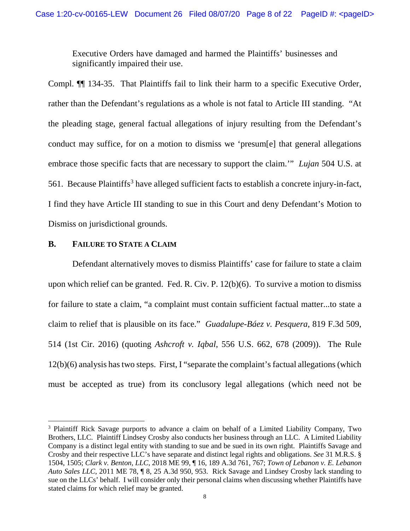Executive Orders have damaged and harmed the Plaintiffs' businesses and significantly impaired their use.

Compl. ¶¶ 134-35. That Plaintiffs fail to link their harm to a specific Executive Order, rather than the Defendant's regulations as a whole is not fatal to Article III standing. "At the pleading stage, general factual allegations of injury resulting from the Defendant's conduct may suffice, for on a motion to dismiss we 'presum[e] that general allegations embrace those specific facts that are necessary to support the claim.'" *Lujan* 504 U.S. at 561. Because Plaintiffs<sup>3</sup> have alleged sufficient facts to establish a concrete injury-in-fact, I find they have Article III standing to sue in this Court and deny Defendant's Motion to Dismiss on jurisdictional grounds.

# **B. FAILURE TO STATE A CLAIM**

 $\overline{a}$ 

Defendant alternatively moves to dismiss Plaintiffs' case for failure to state a claim upon which relief can be granted. Fed. R. Civ. P. 12(b)(6). To survive a motion to dismiss for failure to state a claim, "a complaint must contain sufficient factual matter...to state a claim to relief that is plausible on its face." *Guadalupe-Báez v. Pesquera*, 819 F.3d 509, 514 (1st Cir. 2016) (quoting *Ashcroft v. Iqbal*, 556 U.S. 662, 678 (2009)). The Rule 12(b)(6) analysis has two steps. First, I "separate the complaint's factual allegations (which must be accepted as true) from its conclusory legal allegations (which need not be

<sup>&</sup>lt;sup>3</sup> Plaintiff Rick Savage purports to advance a claim on behalf of a Limited Liability Company, Two Brothers, LLC. Plaintiff Lindsey Crosby also conducts her business through an LLC. A Limited Liability Company is a distinct legal entity with standing to sue and be sued in its own right. Plaintiffs Savage and Crosby and their respective LLC's have separate and distinct legal rights and obligations. *See* 31 M.R.S. § 1504, 1505; *Clark v. Benton*, *LLC*, 2018 ME 99, ¶ 16, 189 A.3d 761, 767; *Town of Lebanon v. E. Lebanon Auto Sales LLC*, 2011 ME 78, ¶ 8, 25 A.3d 950, 953. Rick Savage and Lindsey Crosby lack standing to sue on the LLCs' behalf. I will consider only their personal claims when discussing whether Plaintiffs have stated claims for which relief may be granted.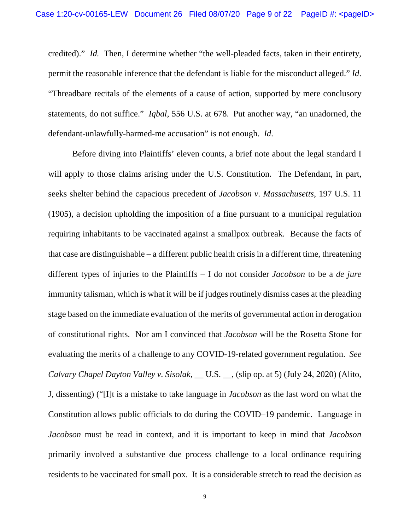credited)." *Id.* Then, I determine whether "the well-pleaded facts, taken in their entirety, permit the reasonable inference that the defendant is liable for the misconduct alleged." *Id*. "Threadbare recitals of the elements of a cause of action, supported by mere conclusory statements, do not suffice." *Iqbal*, 556 U.S. at 678. Put another way, "an unadorned, the defendant-unlawfully-harmed-me accusation" is not enough. *Id*.

Before diving into Plaintiffs' eleven counts, a brief note about the legal standard I will apply to those claims arising under the U.S. Constitution. The Defendant, in part, seeks shelter behind the capacious precedent of *Jacobson v. Massachusetts*, 197 U.S. 11 (1905), a decision upholding the imposition of a fine pursuant to a municipal regulation requiring inhabitants to be vaccinated against a smallpox outbreak. Because the facts of that case are distinguishable – a different public health crisis in a different time, threatening different types of injuries to the Plaintiffs – I do not consider *Jacobson* to be a *de jure* immunity talisman, which is what it will be if judges routinely dismiss cases at the pleading stage based on the immediate evaluation of the merits of governmental action in derogation of constitutional rights. Nor am I convinced that *Jacobson* will be the Rosetta Stone for evaluating the merits of a challenge to any COVID-19-related government regulation. *See Calvary Chapel Dayton Valley v. Sisolak*, \_\_ U.S. \_\_, (slip op. at 5) (July 24, 2020) (Alito, J, dissenting) ("[I]t is a mistake to take language in *Jacobson* as the last word on what the Constitution allows public officials to do during the COVID–19 pandemic. Language in *Jacobson* must be read in context, and it is important to keep in mind that *Jacobson* primarily involved a substantive due process challenge to a local ordinance requiring residents to be vaccinated for small pox. It is a considerable stretch to read the decision as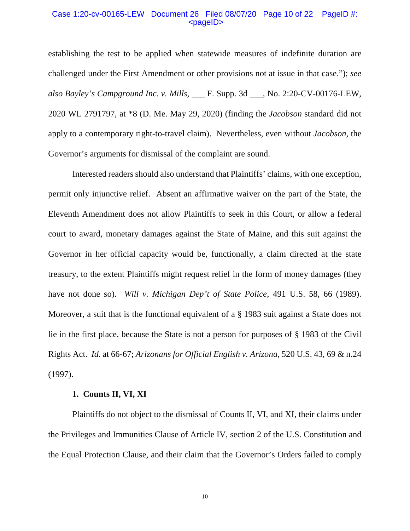## Case 1:20-cv-00165-LEW Document 26 Filed 08/07/20 Page 10 of 22 PageID #: <pageID>

establishing the test to be applied when statewide measures of indefinite duration are challenged under the First Amendment or other provisions not at issue in that case."); *see also Bayley's Campground Inc. v. Mills,* \_\_\_ F. Supp. 3d \_\_\_, No. 2:20-CV-00176-LEW, 2020 WL 2791797, at \*8 (D. Me. May 29, 2020) (finding the *Jacobson* standard did not apply to a contemporary right-to-travel claim). Nevertheless, even without *Jacobson*, the Governor's arguments for dismissal of the complaint are sound.

Interested readers should also understand that Plaintiffs' claims, with one exception, permit only injunctive relief. Absent an affirmative waiver on the part of the State, the Eleventh Amendment does not allow Plaintiffs to seek in this Court, or allow a federal court to award, monetary damages against the State of Maine, and this suit against the Governor in her official capacity would be, functionally, a claim directed at the state treasury, to the extent Plaintiffs might request relief in the form of money damages (they have not done so). *Will v. Michigan Dep't of State Police*, 491 U.S. 58, 66 (1989). Moreover, a suit that is the functional equivalent of a § 1983 suit against a State does not lie in the first place, because the State is not a person for purposes of § 1983 of the Civil Rights Act. *Id.* at 66-67; *Arizonans for Official English v. Arizona*, 520 U.S. 43, 69 & n.24 (1997).

# **1. Counts II, VI, XI**

Plaintiffs do not object to the dismissal of Counts II, VI, and XI, their claims under the Privileges and Immunities Clause of Article IV, section 2 of the U.S. Constitution and the Equal Protection Clause, and their claim that the Governor's Orders failed to comply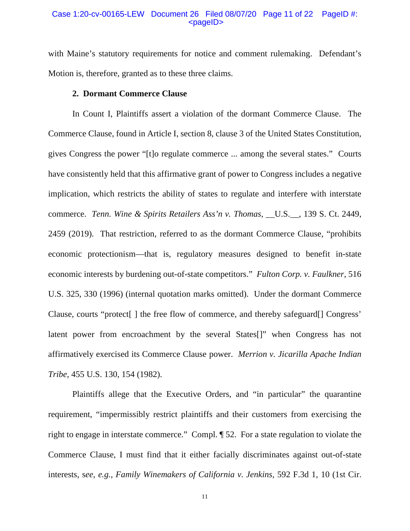## Case 1:20-cv-00165-LEW Document 26 Filed 08/07/20 Page 11 of 22 PageID #:  $<$ pageID $>$

with Maine's statutory requirements for notice and comment rulemaking. Defendant's Motion is, therefore, granted as to these three claims.

# **2. Dormant Commerce Clause**

In Count I, Plaintiffs assert a violation of the dormant Commerce Clause. The Commerce Clause, found in Article I, section 8, clause 3 of the United States Constitution, gives Congress the power "[t]o regulate commerce ... among the several states." Courts have consistently held that this affirmative grant of power to Congress includes a negative implication, which restricts the ability of states to regulate and interfere with interstate commerce. *Tenn. Wine & Spirits Retailers Ass'n v. Thomas*, \_\_U.S.\_\_, 139 S. Ct. 2449, 2459 (2019). That restriction, referred to as the dormant Commerce Clause, "prohibits economic protectionism—that is, regulatory measures designed to benefit in-state economic interests by burdening out-of-state competitors." *Fulton Corp. v. Faulkner*, 516 U.S. 325, 330 (1996) (internal quotation marks omitted). Under the dormant Commerce Clause, courts "protect[ ] the free flow of commerce, and thereby safeguard[] Congress' latent power from encroachment by the several States[]" when Congress has not affirmatively exercised its Commerce Clause power. *Merrion v. Jicarilla Apache Indian Tribe*, 455 U.S. 130, 154 (1982).

Plaintiffs allege that the Executive Orders, and "in particular" the quarantine requirement, "impermissibly restrict plaintiffs and their customers from exercising the right to engage in interstate commerce." Compl. ¶ 52. For a state regulation to violate the Commerce Clause, I must find that it either facially discriminates against out-of-state interests, s*ee, e.g., Family Winemakers of California v. Jenkins,* 592 F.3d 1, 10 (1st Cir.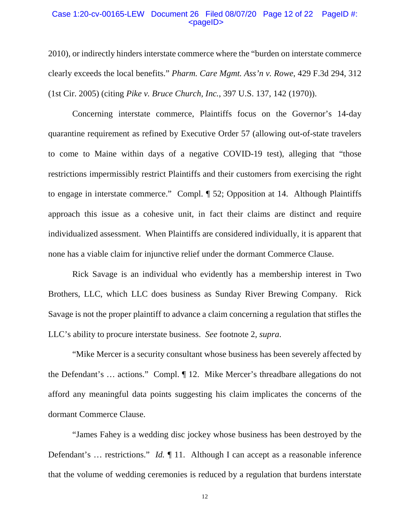### Case 1:20-cv-00165-LEW Document 26 Filed 08/07/20 Page 12 of 22 PageID #:  $<$ pageID $>$

2010), or indirectly hinders interstate commerce where the "burden on interstate commerce clearly exceeds the local benefits." *Pharm. Care Mgmt. Ass'n v. Rowe*, 429 F.3d 294, 312 (1st Cir. 2005) (citing *Pike v. Bruce Church, Inc.*, 397 U.S. 137, 142 (1970)).

Concerning interstate commerce, Plaintiffs focus on the Governor's 14-day quarantine requirement as refined by Executive Order 57 (allowing out-of-state travelers to come to Maine within days of a negative COVID-19 test), alleging that "those restrictions impermissibly restrict Plaintiffs and their customers from exercising the right to engage in interstate commerce." Compl. ¶ 52; Opposition at 14. Although Plaintiffs approach this issue as a cohesive unit, in fact their claims are distinct and require individualized assessment. When Plaintiffs are considered individually, it is apparent that none has a viable claim for injunctive relief under the dormant Commerce Clause.

Rick Savage is an individual who evidently has a membership interest in Two Brothers, LLC, which LLC does business as Sunday River Brewing Company. Rick Savage is not the proper plaintiff to advance a claim concerning a regulation that stifles the LLC's ability to procure interstate business. *See* footnote 2, *supra*.

 "Mike Mercer is a security consultant whose business has been severely affected by the Defendant's … actions." Compl. ¶ 12. Mike Mercer's threadbare allegations do not afford any meaningful data points suggesting his claim implicates the concerns of the dormant Commerce Clause.

"James Fahey is a wedding disc jockey whose business has been destroyed by the Defendant's … restrictions." *Id.* ¶ 11. Although I can accept as a reasonable inference that the volume of wedding ceremonies is reduced by a regulation that burdens interstate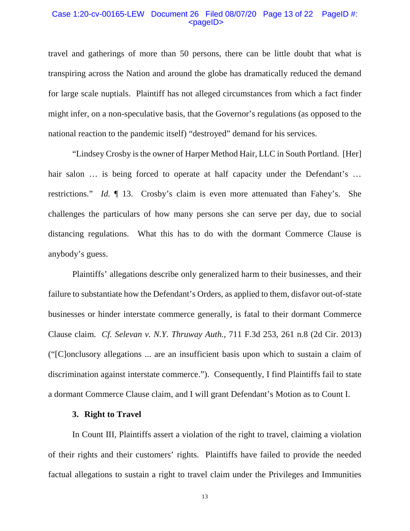## Case 1:20-cv-00165-LEW Document 26 Filed 08/07/20 Page 13 of 22 PageID #:  $<$ pageID $>$

travel and gatherings of more than 50 persons, there can be little doubt that what is transpiring across the Nation and around the globe has dramatically reduced the demand for large scale nuptials. Plaintiff has not alleged circumstances from which a fact finder might infer, on a non-speculative basis, that the Governor's regulations (as opposed to the national reaction to the pandemic itself) "destroyed" demand for his services.

"Lindsey Crosby is the owner of Harper Method Hair, LLC in South Portland. [Her] hair salon ... is being forced to operate at half capacity under the Defendant's ... restrictions." *Id.* ¶ 13. Crosby's claim is even more attenuated than Fahey's. She challenges the particulars of how many persons she can serve per day, due to social distancing regulations. What this has to do with the dormant Commerce Clause is anybody's guess.

Plaintiffs' allegations describe only generalized harm to their businesses, and their failure to substantiate how the Defendant's Orders, as applied to them, disfavor out-of-state businesses or hinder interstate commerce generally, is fatal to their dormant Commerce Clause claim. *Cf. Selevan v. N.Y. Thruway Auth.*, 711 F.3d 253, 261 n.8 (2d Cir. 2013) ("[C]onclusory allegations ... are an insufficient basis upon which to sustain a claim of discrimination against interstate commerce."). Consequently, I find Plaintiffs fail to state a dormant Commerce Clause claim, and I will grant Defendant's Motion as to Count I.

## **3. Right to Travel**

In Count III, Plaintiffs assert a violation of the right to travel, claiming a violation of their rights and their customers' rights. Plaintiffs have failed to provide the needed factual allegations to sustain a right to travel claim under the Privileges and Immunities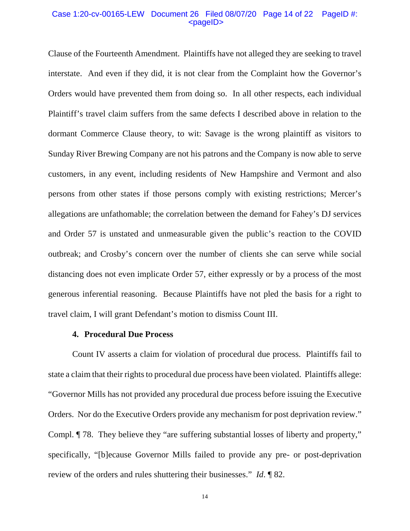### Case 1:20-cv-00165-LEW Document 26 Filed 08/07/20 Page 14 of 22 PageID #:  $<$ pageID $>$

Clause of the Fourteenth Amendment. Plaintiffs have not alleged they are seeking to travel interstate. And even if they did, it is not clear from the Complaint how the Governor's Orders would have prevented them from doing so. In all other respects, each individual Plaintiff's travel claim suffers from the same defects I described above in relation to the dormant Commerce Clause theory, to wit: Savage is the wrong plaintiff as visitors to Sunday River Brewing Company are not his patrons and the Company is now able to serve customers, in any event, including residents of New Hampshire and Vermont and also persons from other states if those persons comply with existing restrictions; Mercer's allegations are unfathomable; the correlation between the demand for Fahey's DJ services and Order 57 is unstated and unmeasurable given the public's reaction to the COVID outbreak; and Crosby's concern over the number of clients she can serve while social distancing does not even implicate Order 57, either expressly or by a process of the most generous inferential reasoning. Because Plaintiffs have not pled the basis for a right to travel claim, I will grant Defendant's motion to dismiss Count III.

## **4. Procedural Due Process**

Count IV asserts a claim for violation of procedural due process. Plaintiffs fail to state a claim that their rights to procedural due process have been violated. Plaintiffs allege: "Governor Mills has not provided any procedural due process before issuing the Executive Orders. Nor do the Executive Orders provide any mechanism for post deprivation review." Compl. ¶ 78. They believe they "are suffering substantial losses of liberty and property," specifically, "[b]ecause Governor Mills failed to provide any pre- or post-deprivation review of the orders and rules shuttering their businesses." *Id*. ¶ 82.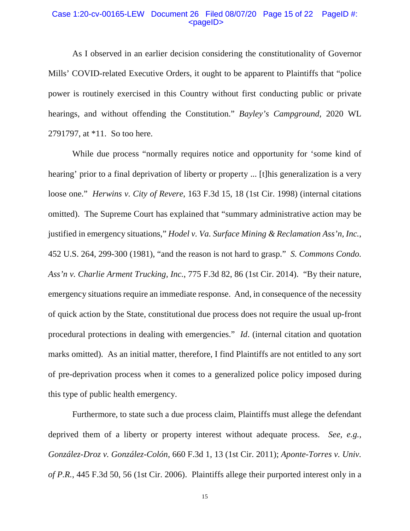## Case 1:20-cv-00165-LEW Document 26 Filed 08/07/20 Page 15 of 22 PageID #: <pageID>

As I observed in an earlier decision considering the constitutionality of Governor Mills' COVID-related Executive Orders, it ought to be apparent to Plaintiffs that "police power is routinely exercised in this Country without first conducting public or private hearings, and without offending the Constitution." *Bayley's Campground,* 2020 WL 2791797, at \*11. So too here.

While due process "normally requires notice and opportunity for 'some kind of hearing' prior to a final deprivation of liberty or property ... [t] his generalization is a very loose one." *Herwins v. City of Revere*, 163 F.3d 15, 18 (1st Cir. 1998) (internal citations omitted). The Supreme Court has explained that "summary administrative action may be justified in emergency situations," *Hodel v. Va. Surface Mining & Reclamation Ass'n, Inc.*, 452 U.S. 264, 299-300 (1981), "and the reason is not hard to grasp." *S. Commons Condo. Ass'n v. Charlie Arment Trucking, Inc.*, 775 F.3d 82, 86 (1st Cir. 2014). "By their nature, emergency situations require an immediate response. And, in consequence of the necessity of quick action by the State, constitutional due process does not require the usual up-front procedural protections in dealing with emergencies." *Id*. (internal citation and quotation marks omitted). As an initial matter, therefore, I find Plaintiffs are not entitled to any sort of pre-deprivation process when it comes to a generalized police policy imposed during this type of public health emergency.

Furthermore, to state such a due process claim, Plaintiffs must allege the defendant deprived them of a liberty or property interest without adequate process. *See, e.g., González-Droz v. González-Colón*, 660 F.3d 1, 13 (1st Cir. 2011); *Aponte-Torres v. Univ. of P.R.*, 445 F.3d 50, 56 (1st Cir. 2006). Plaintiffs allege their purported interest only in a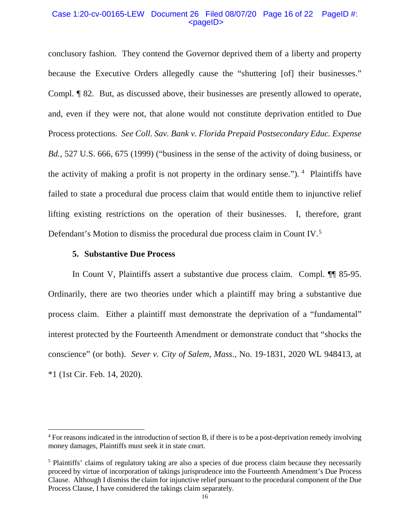# Case 1:20-cv-00165-LEW Document 26 Filed 08/07/20 Page 16 of 22 PageID #: <pageID>

conclusory fashion. They contend the Governor deprived them of a liberty and property because the Executive Orders allegedly cause the "shuttering [of] their businesses." Compl. ¶ 82. But, as discussed above, their businesses are presently allowed to operate, and, even if they were not, that alone would not constitute deprivation entitled to Due Process protections. *See Coll. Sav. Bank v. Florida Prepaid Postsecondary Educ. Expense Bd.*, 527 U.S. 666, 675 (1999) ("business in the sense of the activity of doing business, or the activity of making a profit is not property in the ordinary sense.").  $4$  Plaintiffs have failed to state a procedural due process claim that would entitle them to injunctive relief lifting existing restrictions on the operation of their businesses. I, therefore, grant Defendant's Motion to dismiss the procedural due process claim in Count IV.<sup>5</sup>

## **5. Substantive Due Process**

 $\overline{a}$ 

In Count V, Plaintiffs assert a substantive due process claim. Compl. ¶¶ 85-95. Ordinarily, there are two theories under which a plaintiff may bring a substantive due process claim. Either a plaintiff must demonstrate the deprivation of a "fundamental" interest protected by the Fourteenth Amendment or demonstrate conduct that "shocks the conscience" (or both). *Sever v. City of Salem*, *Mass.*, No. 19-1831, 2020 WL 948413, at \*1 (1st Cir. Feb. 14, 2020).

<sup>4</sup> For reasons indicated in the introduction of section B, if there is to be a post-deprivation remedy involving money damages, Plaintiffs must seek it in state court.

<sup>&</sup>lt;sup>5</sup> Plaintiffs' claims of regulatory taking are also a species of due process claim because they necessarily proceed by virtue of incorporation of takings jurisprudence into the Fourteenth Amendment's Due Process Clause. Although I dismiss the claim for injunctive relief pursuant to the procedural component of the Due Process Clause, I have considered the takings claim separately.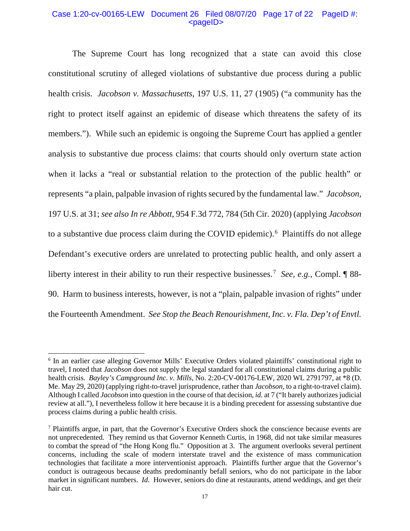## Case 1:20-cv-00165-LEW Document 26 Filed 08/07/20 Page 17 of 22 PageID #: <pageID>

The Supreme Court has long recognized that a state can avoid this close constitutional scrutiny of alleged violations of substantive due process during a public health crisis. *Jacobson v. Massachusetts*, 197 U.S. 11, 27 (1905) ("a community has the right to protect itself against an epidemic of disease which threatens the safety of its members."). While such an epidemic is ongoing the Supreme Court has applied a gentler analysis to substantive due process claims: that courts should only overturn state action when it lacks a "real or substantial relation to the protection of the public health" or represents "a plain, palpable invasion of rights secured by the fundamental law." *Jacobson*, 197 U.S. at 31; *see also In re Abbott,* 954 F.3d 772, 784 (5th Cir. 2020) (applying *Jacobson* to a substantive due process claim during the COVID epidemic).<sup>6</sup> Plaintiffs do not allege Defendant's executive orders are unrelated to protecting public health, and only assert a liberty interest in their ability to run their respective businesses.7 *See, e.g.,* Compl. ¶ 88- 90. Harm to business interests, however, is not a "plain, palpable invasion of rights" under the Fourteenth Amendment. *See Stop the Beach Renourishment, Inc. v. Fla. Dep't of Envtl.* 

 $\overline{a}$ 

<sup>&</sup>lt;sup>6</sup> In an earlier case alleging Governor Mills' Executive Orders violated plaintiffs' constitutional right to travel, I noted that *Jacobson* does not supply the legal standard for all constitutional claims during a public health crisis. *Bayley's Campground Inc. v. Mills*, No. 2:20-CV-00176-LEW, 2020 WL 2791797, at \*8 (D. Me. May 29, 2020) (applying right-to-travel jurisprudence, rather than *Jacobson,* to a right-to-travel claim). Although I called *Jacobson* into question in the course of that decision, *id.* at 7 ("It barely authorizes judicial review at all."), I nevertheless follow it here because it is a binding precedent for assessing substantive due process claims during a public health crisis.

<sup>7</sup> Plaintiffs argue, in part, that the Governor's Executive Orders shock the conscience because events are not unprecedented. They remind us that Governor Kenneth Curtis, in 1968, did not take similar measures to combat the spread of "the Hong Kong flu." Opposition at 3. The argument overlooks several pertinent concerns, including the scale of modern interstate travel and the existence of mass communication technologies that facilitate a more interventionist approach. Plaintiffs further argue that the Governor's conduct is outrageous because deaths predominantly befall seniors, who do not participate in the labor market in significant numbers. *Id*. However, seniors do dine at restaurants, attend weddings, and get their hair cut.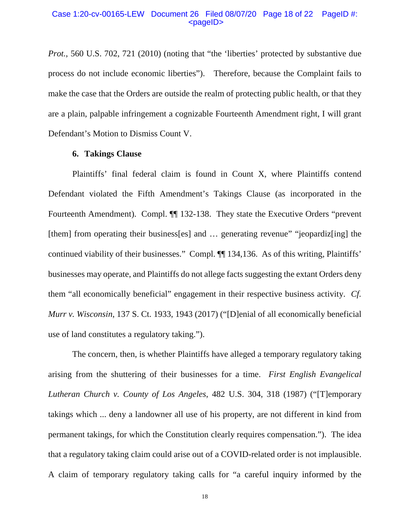### Case 1:20-cv-00165-LEW Document 26 Filed 08/07/20 Page 18 of 22 PageID #: <pageID>

*Prot.*, 560 U.S. 702, 721 (2010) (noting that "the 'liberties' protected by substantive due process do not include economic liberties"). Therefore, because the Complaint fails to make the case that the Orders are outside the realm of protecting public health, or that they are a plain, palpable infringement a cognizable Fourteenth Amendment right, I will grant Defendant's Motion to Dismiss Count V.

### **6. Takings Clause**

Plaintiffs' final federal claim is found in Count X, where Plaintiffs contend Defendant violated the Fifth Amendment's Takings Clause (as incorporated in the Fourteenth Amendment). Compl.  $\P$  132-138. They state the Executive Orders "prevent" [them] from operating their business[es] and ... generating revenue" "jeopardiz[ing] the continued viability of their businesses." Compl. ¶¶ 134,136. As of this writing, Plaintiffs' businesses may operate, and Plaintiffs do not allege facts suggesting the extant Orders deny them "all economically beneficial" engagement in their respective business activity. *Cf. Murr v. Wisconsin*, 137 S. Ct. 1933, 1943 (2017) ("[D]enial of all economically beneficial use of land constitutes a regulatory taking.").

The concern, then, is whether Plaintiffs have alleged a temporary regulatory taking arising from the shuttering of their businesses for a time. *First English Evangelical Lutheran Church v. County of Los Angeles*, 482 U.S. 304, 318 (1987) ("[T]emporary takings which ... deny a landowner all use of his property, are not different in kind from permanent takings, for which the Constitution clearly requires compensation."). The idea that a regulatory taking claim could arise out of a COVID-related order is not implausible. A claim of temporary regulatory taking calls for "a careful inquiry informed by the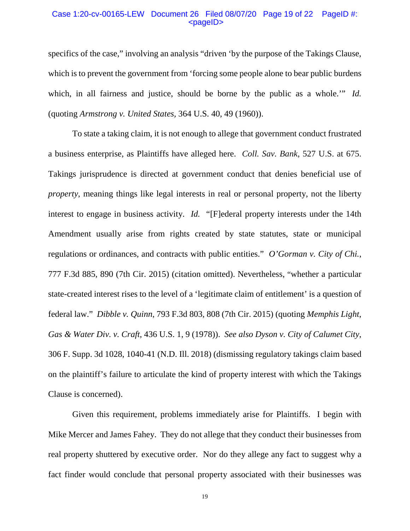## Case 1:20-cv-00165-LEW Document 26 Filed 08/07/20 Page 19 of 22 PageID #: <pageID>

specifics of the case," involving an analysis "driven 'by the purpose of the Takings Clause, which is to prevent the government from 'forcing some people alone to bear public burdens which, in all fairness and justice, should be borne by the public as a whole.'" *Id.* (quoting *Armstrong v. United States,* 364 U.S. 40, 49 (1960)).

To state a taking claim, it is not enough to allege that government conduct frustrated a business enterprise, as Plaintiffs have alleged here. *Coll. Sav. Bank*, 527 U.S. at 675. Takings jurisprudence is directed at government conduct that denies beneficial use of *property*, meaning things like legal interests in real or personal property, not the liberty interest to engage in business activity. *Id.* "[F]ederal property interests under the 14th Amendment usually arise from rights created by state statutes, state or municipal regulations or ordinances, and contracts with public entities." *O'Gorman v. City of Chi.*, 777 F.3d 885, 890 (7th Cir. 2015) (citation omitted). Nevertheless, "whether a particular state-created interest rises to the level of a 'legitimate claim of entitlement' is a question of federal law." *Dibble v. Quinn*, 793 F.3d 803, 808 (7th Cir. 2015) (quoting *Memphis Light*, *Gas & Water Div. v. Craft*, 436 U.S. 1, 9 (1978)). *See also Dyson v. City of Calumet City*, 306 F. Supp. 3d 1028, 1040-41 (N.D. Ill. 2018) (dismissing regulatory takings claim based on the plaintiff's failure to articulate the kind of property interest with which the Takings Clause is concerned).

Given this requirement, problems immediately arise for Plaintiffs. I begin with Mike Mercer and James Fahey. They do not allege that they conduct their businesses from real property shuttered by executive order. Nor do they allege any fact to suggest why a fact finder would conclude that personal property associated with their businesses was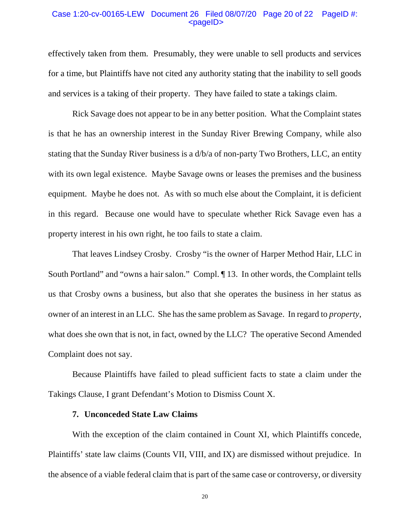### Case 1:20-cv-00165-LEW Document 26 Filed 08/07/20 Page 20 of 22 PageID #:  $<$ pageID $>$

effectively taken from them. Presumably, they were unable to sell products and services for a time, but Plaintiffs have not cited any authority stating that the inability to sell goods and services is a taking of their property. They have failed to state a takings claim.

Rick Savage does not appear to be in any better position. What the Complaint states is that he has an ownership interest in the Sunday River Brewing Company, while also stating that the Sunday River business is a d/b/a of non-party Two Brothers, LLC, an entity with its own legal existence. Maybe Savage owns or leases the premises and the business equipment. Maybe he does not. As with so much else about the Complaint, it is deficient in this regard. Because one would have to speculate whether Rick Savage even has a property interest in his own right, he too fails to state a claim.

That leaves Lindsey Crosby. Crosby "is the owner of Harper Method Hair, LLC in South Portland" and "owns a hair salon." Compl. ¶ 13. In other words, the Complaint tells us that Crosby owns a business, but also that she operates the business in her status as owner of an interest in an LLC. She has the same problem as Savage. In regard to *property*, what does she own that is not, in fact, owned by the LLC? The operative Second Amended Complaint does not say.

Because Plaintiffs have failed to plead sufficient facts to state a claim under the Takings Clause, I grant Defendant's Motion to Dismiss Count X.

# **7. Unconceded State Law Claims**

With the exception of the claim contained in Count XI, which Plaintiffs concede, Plaintiffs' state law claims (Counts VII, VIII, and IX) are dismissed without prejudice. In the absence of a viable federal claim that is part of the same case or controversy, or diversity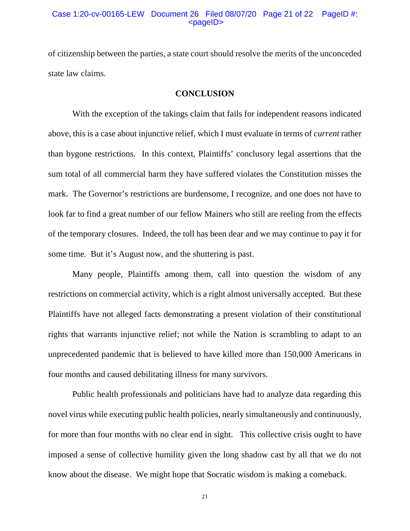## Case 1:20-cv-00165-LEW Document 26 Filed 08/07/20 Page 21 of 22 PageID #:  $<$ pageID $>$

of citizenship between the parties, a state court should resolve the merits of the unconceded state law claims.

## **CONCLUSION**

With the exception of the takings claim that fails for independent reasons indicated above, this is a case about injunctive relief, which I must evaluate in terms of *current* rather than bygone restrictions. In this context, Plaintiffs' conclusory legal assertions that the sum total of all commercial harm they have suffered violates the Constitution misses the mark. The Governor's restrictions are burdensome, I recognize, and one does not have to look far to find a great number of our fellow Mainers who still are reeling from the effects of the temporary closures. Indeed, the toll has been dear and we may continue to pay it for some time. But it's August now, and the shuttering is past.

Many people, Plaintiffs among them, call into question the wisdom of any restrictions on commercial activity, which is a right almost universally accepted. But these Plaintiffs have not alleged facts demonstrating a present violation of their constitutional rights that warrants injunctive relief; not while the Nation is scrambling to adapt to an unprecedented pandemic that is believed to have killed more than 150,000 Americans in four months and caused debilitating illness for many survivors.

Public health professionals and politicians have had to analyze data regarding this novel virus while executing public health policies, nearly simultaneously and continuously, for more than four months with no clear end in sight. This collective crisis ought to have imposed a sense of collective humility given the long shadow cast by all that we do not know about the disease. We might hope that Socratic wisdom is making a comeback.

21